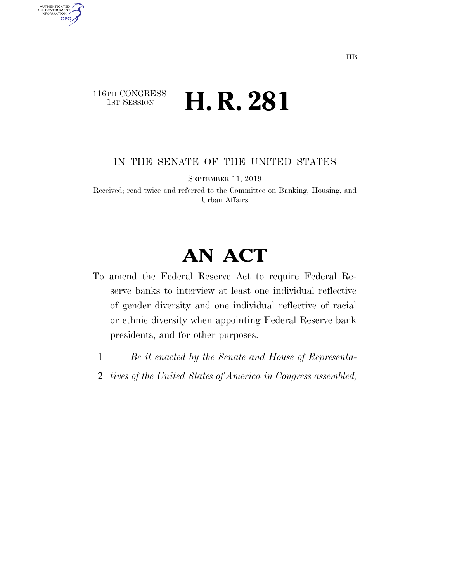# 116TH CONGRESS<br>1st Session **H. R. 281**

AUTHENTICATED<br>U.S. GOVERNMENT<br>INFORMATION

GPO

IN THE SENATE OF THE UNITED STATES

SEPTEMBER 11, 2019

Received; read twice and referred to the Committee on Banking, Housing, and Urban Affairs

# **AN ACT**

- To amend the Federal Reserve Act to require Federal Reserve banks to interview at least one individual reflective of gender diversity and one individual reflective of racial or ethnic diversity when appointing Federal Reserve bank presidents, and for other purposes.
	- 1 *Be it enacted by the Senate and House of Representa-*
	- 2 *tives of the United States of America in Congress assembled,*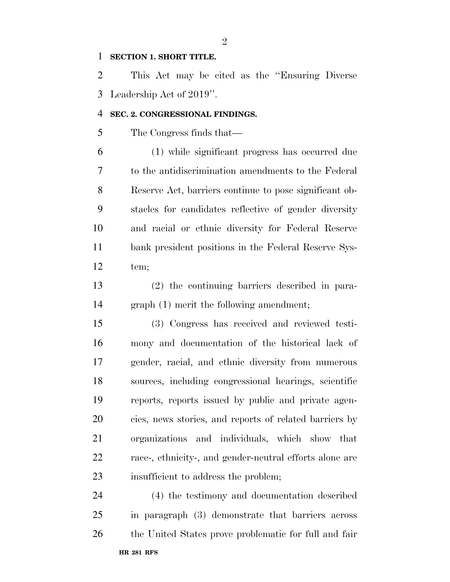### **SECTION 1. SHORT TITLE.**

 This Act may be cited as the ''Ensuring Diverse Leadership Act of 2019''.

## **SEC. 2. CONGRESSIONAL FINDINGS.**

The Congress finds that—

 (1) while significant progress has occurred due to the antidiscrimination amendments to the Federal Reserve Act, barriers continue to pose significant ob- stacles for candidates reflective of gender diversity and racial or ethnic diversity for Federal Reserve bank president positions in the Federal Reserve Sys-tem;

 (2) the continuing barriers described in para-graph (1) merit the following amendment;

 (3) Congress has received and reviewed testi- mony and documentation of the historical lack of gender, racial, and ethnic diversity from numerous sources, including congressional hearings, scientific reports, reports issued by public and private agen- cies, news stories, and reports of related barriers by organizations and individuals, which show that race-, ethnicity-, and gender-neutral efforts alone are insufficient to address the problem;

**HR 281 RFS** (4) the testimony and documentation described in paragraph (3) demonstrate that barriers across the United States prove problematic for full and fair

 $\mathfrak{D}$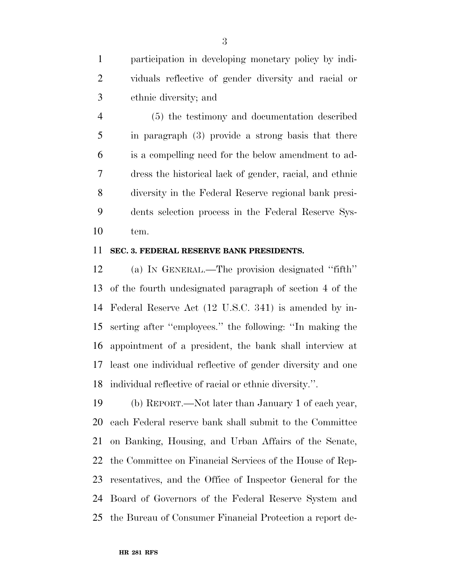participation in developing monetary policy by indi- viduals reflective of gender diversity and racial or ethnic diversity; and

 (5) the testimony and documentation described in paragraph (3) provide a strong basis that there is a compelling need for the below amendment to ad- dress the historical lack of gender, racial, and ethnic diversity in the Federal Reserve regional bank presi- dents selection process in the Federal Reserve Sys-tem.

#### **SEC. 3. FEDERAL RESERVE BANK PRESIDENTS.**

 (a) IN GENERAL.—The provision designated ''fifth'' of the fourth undesignated paragraph of section 4 of the Federal Reserve Act (12 U.S.C. 341) is amended by in- serting after ''employees.'' the following: ''In making the appointment of a president, the bank shall interview at least one individual reflective of gender diversity and one individual reflective of racial or ethnic diversity.''.

 (b) REPORT.—Not later than January 1 of each year, each Federal reserve bank shall submit to the Committee on Banking, Housing, and Urban Affairs of the Senate, the Committee on Financial Services of the House of Rep- resentatives, and the Office of Inspector General for the Board of Governors of the Federal Reserve System and the Bureau of Consumer Financial Protection a report de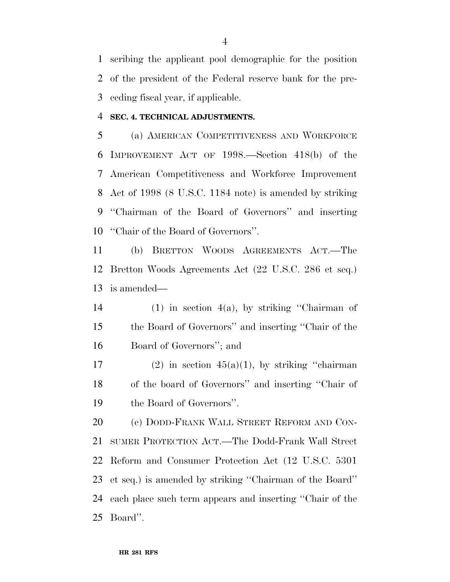scribing the applicant pool demographic for the position of the president of the Federal reserve bank for the pre-ceding fiscal year, if applicable.

### **SEC. 4. TECHNICAL ADJUSTMENTS.**

 (a) AMERICAN COMPETITIVENESS AND WORKFORCE IMPROVEMENT ACT OF 1998.—Section 418(b) of the American Competitiveness and Workforce Improvement Act of 1998 (8 U.S.C. 1184 note) is amended by striking ''Chairman of the Board of Governors'' and inserting ''Chair of the Board of Governors''.

 (b) BRETTON WOODS AGREEMENTS ACT.—The Bretton Woods Agreements Act (22 U.S.C. 286 et seq.) is amended—

 (1) in section 4(a), by striking ''Chairman of the Board of Governors'' and inserting ''Chair of the Board of Governors''; and

17 (2) in section  $45(a)(1)$ , by striking "chairman" of the board of Governors'' and inserting ''Chair of the Board of Governors''.

20 (c) DODD-FRANK WALL STREET REFORM AND CON- SUMER PROTECTION ACT.—The Dodd-Frank Wall Street Reform and Consumer Protection Act (12 U.S.C. 5301 et seq.) is amended by striking ''Chairman of the Board'' each place such term appears and inserting ''Chair of the Board''.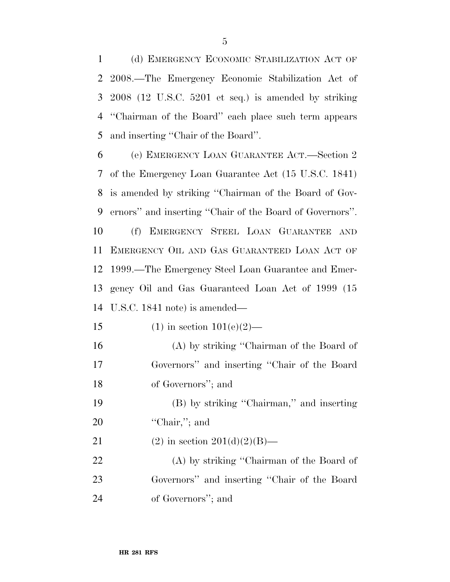(d) EMERGENCY ECONOMIC STABILIZATION ACT OF 2008.—The Emergency Economic Stabilization Act of 2008 (12 U.S.C. 5201 et seq.) is amended by striking ''Chairman of the Board'' each place such term appears and inserting ''Chair of the Board''.

 (e) EMERGENCY LOAN GUARANTEE ACT.—Section 2 of the Emergency Loan Guarantee Act (15 U.S.C. 1841) is amended by striking ''Chairman of the Board of Gov- ernors'' and inserting ''Chair of the Board of Governors''. (f) EMERGENCY STEEL LOAN GUARANTEE AND EMERGENCY OIL AND GAS GUARANTEED LOAN ACT OF 1999.—The Emergency Steel Loan Guarantee and Emer- gency Oil and Gas Guaranteed Loan Act of 1999 (15 U.S.C. 1841 note) is amended—

15 (1) in section  $101(e)(2)$ —

 (A) by striking ''Chairman of the Board of Governors'' and inserting ''Chair of the Board of Governors''; and

 (B) by striking ''Chairman,'' and inserting 20 "Chair,"; and

21 (2) in section  $201(d)(2)(B)$ —

22 (A) by striking "Chairman of the Board of Governors'' and inserting ''Chair of the Board of Governors''; and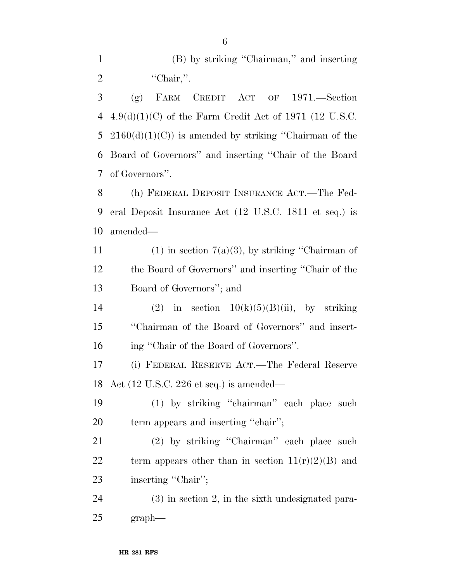(B) by striking ''Chairman,'' and inserting 2  $"Chair,"$ .

 (g) FARM CREDIT ACT OF 1971.—Section 4.9(d)(1)(C) of the Farm Credit Act of 1971 (12 U.S.C. 5 2160(d)(1)(C)) is amended by striking "Chairman of the Board of Governors'' and inserting ''Chair of the Board of Governors''.

 (h) FEDERAL DEPOSIT INSURANCE ACT.—The Fed- eral Deposit Insurance Act (12 U.S.C. 1811 et seq.) is amended—

11 (1) in section  $7(a)(3)$ , by striking "Chairman of the Board of Governors'' and inserting ''Chair of the Board of Governors''; and

14 (2) in section  $10(k)(5)(B)(ii)$ , by striking ''Chairman of the Board of Governors'' and insert-ing ''Chair of the Board of Governors''.

 (i) FEDERAL RESERVE ACT.—The Federal Reserve Act (12 U.S.C. 226 et seq.) is amended—

 (1) by striking ''chairman'' each place such 20 term appears and inserting "chair";

 (2) by striking ''Chairman'' each place such 22 term appears other than in section  $11(r)(2)(B)$  and 23 inserting "Chair";

 (3) in section 2, in the sixth undesignated para-graph—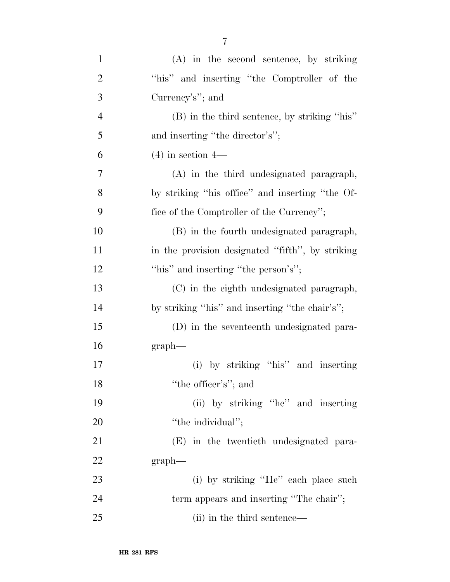| $\mathbf{1}$   | (A) in the second sentence, by striking          |
|----------------|--------------------------------------------------|
| $\overline{2}$ | "his" and inserting "the Comptroller of the      |
| 3              | Currency's"; and                                 |
| $\overline{4}$ | (B) in the third sentence, by striking "his"     |
| 5              | and inserting "the director's";                  |
| 6              | $(4)$ in section 4—                              |
| 7              | (A) in the third undesignated paragraph,         |
| 8              | by striking "his office" and inserting "the Of-  |
| 9              | fice of the Comptroller of the Currency";        |
| 10             | (B) in the fourth undesignated paragraph,        |
| 11             | in the provision designated "fifth", by striking |
| 12             | "his" and inserting "the person's";              |
| 13             | (C) in the eighth undesignated paragraph,        |
| 14             | by striking "his" and inserting "the chair's";   |
| 15             | (D) in the seventeenth undesignated para-        |
| 16             | graph                                            |
| 17             | (i) by striking "his" and inserting              |
| 18             | "the officer's"; and                             |
| 19             | (ii) by striking "he" and inserting              |
| 20             | "the individual";                                |
| 21             | (E) in the twentieth undesignated para-          |
| 22             | $graph$ —                                        |
| 23             | (i) by striking "He" each place such             |
| 24             | term appears and inserting "The chair";          |
| 25             | (ii) in the third sentence—                      |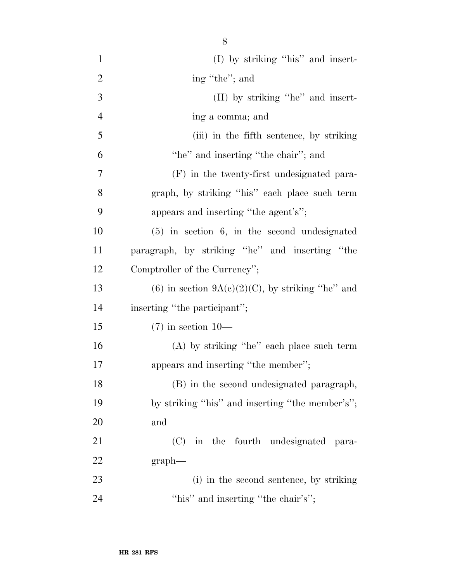| $\mathbf{1}$   | $(I)$ by striking "his" and insert-                   |
|----------------|-------------------------------------------------------|
| $\overline{2}$ | ing "the"; and                                        |
| 3              | $(II)$ by striking "he" and insert-                   |
| $\overline{4}$ | ing a comma; and                                      |
| 5              | (iii) in the fifth sentence, by striking              |
| 6              | "he" and inserting "the chair"; and                   |
| 7              | (F) in the twenty-first undesignated para-            |
| 8              | graph, by striking "his" each place such term         |
| 9              | appears and inserting "the agent's";                  |
| 10             | $(5)$ in section 6, in the second undesignated        |
| 11             | paragraph, by striking "he" and inserting "the        |
| 12             | Comptroller of the Currency";                         |
| 13             | $(6)$ in section $9A(c)(2)(C)$ , by striking "he" and |
| 14             | inserting "the participant";                          |
| 15             | $(7)$ in section 10—                                  |
| 16             | $(A)$ by striking "he" each place such term           |
| 17             | appears and inserting "the member";                   |
| 18             | (B) in the second undesignated paragraph,             |
| 19             | by striking "his" and inserting "the member's";       |
| 20             | and                                                   |
| 21             | (C) in the fourth undesignated para-                  |
| 22             | graph                                                 |
| 23             | (i) in the second sentence, by striking               |
| 24             | "his" and inserting "the chair's";                    |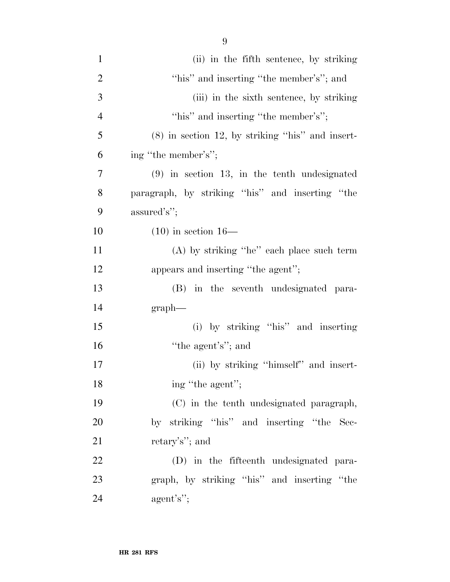| $\mathbf{1}$   | (ii) in the fifth sentence, by striking            |
|----------------|----------------------------------------------------|
| $\overline{2}$ | "his" and inserting "the member's"; and            |
| 3              | (iii) in the sixth sentence, by striking           |
| $\overline{4}$ | "his" and inserting "the member's";                |
| 5              | $(8)$ in section 12, by striking "his" and insert- |
| 6              | ing "the member's";                                |
| 7              | $(9)$ in section 13, in the tenth undesignated     |
| 8              | paragraph, by striking "his" and inserting "the    |
| 9              | assured's";                                        |
| 10             | $(10)$ in section 16—                              |
| 11             | $(A)$ by striking "he" each place such term        |
| 12             | appears and inserting "the agent";                 |
| 13             | (B) in the seventh undesignated para-              |
| 14             | graph                                              |
| 15             | (i) by striking "his" and inserting                |
| 16             | "the agent's"; and                                 |
| 17             | (ii) by striking "himself" and insert-             |
| 18             | ing "the agent";                                   |
| 19             | (C) in the tenth undesignated paragraph,           |
| 20             | by striking "his" and inserting "the Sec-          |
| 21             | retary's"; and                                     |
| 22             | (D) in the fifteenth undesignated para-            |
| 23             | graph, by striking "his" and inserting "the        |
| 24             | agent's";                                          |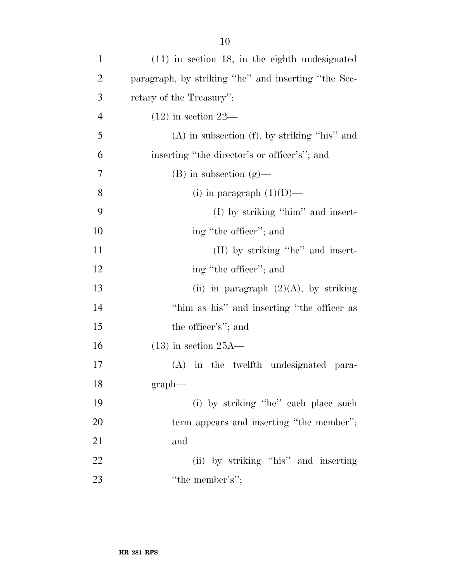| $\mathbf{1}$   | $(11)$ in section 18, in the eighth undesignated    |
|----------------|-----------------------------------------------------|
| 2              | paragraph, by striking "he" and inserting "the Sec- |
| 3              | retary of the Treasury";                            |
| $\overline{4}$ | $(12)$ in section $22-$                             |
| 5              | $(A)$ in subsection $(f)$ , by striking "his" and   |
| 6              | inserting "the director's or officer's"; and        |
| 7              | $(B)$ in subsection $(g)$ —                         |
| 8              | (i) in paragraph $(1)(D)$ —                         |
| 9              | (I) by striking "him" and insert-                   |
| 10             | ing "the officer"; and                              |
| 11             | (II) by striking "he" and insert-                   |
| 12             | ing "the officer"; and                              |
| 13             | (ii) in paragraph $(2)(A)$ , by striking            |
| 14             | "him as his" and inserting "the officer as          |
| 15             | the officer's"; and                                 |
| 16             | $(13)$ in section $25A$ —                           |
| 17             | (A) in the twelfth undesignated para-               |
| 18             | graph                                               |
| 19             | (i) by striking "he" each place such                |
| 20             | term appears and inserting "the member";            |
| 21             | and                                                 |
| 22             | (ii) by striking "his" and inserting                |
| 23             | "the member's";                                     |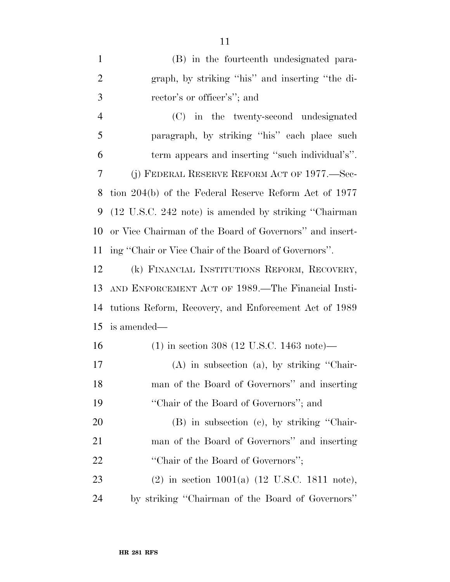| $\mathbf{1}$   | (B) in the fourteenth undesignated para-                           |
|----------------|--------------------------------------------------------------------|
| $\overline{2}$ | graph, by striking "his" and inserting "the di-                    |
| 3              | rector's or officer's"; and                                        |
| $\overline{4}$ | (C) in the twenty-second undesignated                              |
| 5              | paragraph, by striking "his" each place such                       |
| 6              | term appears and inserting "such individual's".                    |
| 7              | (j) FEDERAL RESERVE REFORM ACT OF 1977.—Sec-                       |
| 8              | tion 204(b) of the Federal Reserve Reform Act of 1977              |
| 9              | (12 U.S.C. 242 note) is amended by striking "Chairman"             |
| 10             | or Vice Chairman of the Board of Governors" and insert-            |
| 11             | ing "Chair or Vice Chair of the Board of Governors".               |
| 12             | (k) FINANCIAL INSTITUTIONS REFORM, RECOVERY,                       |
| 13             | AND ENFORCEMENT ACT OF 1989.—The Financial Insti-                  |
| 14             | tutions Reform, Recovery, and Enforcement Act of 1989              |
| 15             | is amended—                                                        |
| 16             | $(1)$ in section 308 (12 U.S.C. 1463 note)—                        |
| 17             | $(A)$ in subsection $(a)$ , by striking "Chair-                    |
| 18             | man of the Board of Governors" and inserting                       |
| 19             | "Chair of the Board of Governors"; and                             |
| 20             | (B) in subsection (c), by striking "Chair-                         |
| 21             | man of the Board of Governors" and inserting                       |
| <u>22</u>      | "Chair of the Board of Governors";                                 |
| 23             | $(2)$ in section 1001(a) $(12 \text{ U.S.C. } 1811 \text{ note}),$ |
| 24             | by striking "Chairman of the Board of Governors"                   |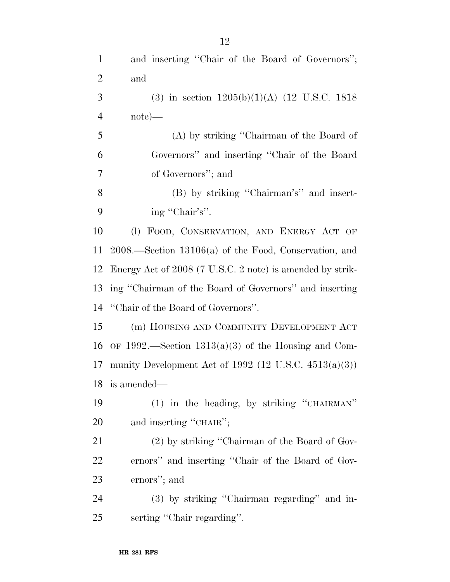| $\mathbf{1}$   | and inserting "Chair of the Board of Governors";          |
|----------------|-----------------------------------------------------------|
| $\overline{2}$ | and                                                       |
| 3              | (3) in section $1205(b)(1)(A)$ (12 U.S.C. 1818)           |
| $\overline{4}$ | $note)$ —                                                 |
| 5              | (A) by striking "Chairman of the Board of                 |
| 6              | Governors" and inserting "Chair of the Board"             |
| 7              | of Governors"; and                                        |
| 8              | (B) by striking "Chairman's" and insert-                  |
| 9              | ing "Chair's".                                            |
| 10             | (I) FOOD, CONSERVATION, AND ENERGY ACT OF                 |
| 11             | $2008.$ —Section 13106(a) of the Food, Conservation, and  |
| 12             | Energy Act of 2008 (7 U.S.C. 2 note) is amended by strik- |
| 13             | ing "Chairman of the Board of Governors" and inserting    |
| 14             | "Chair of the Board of Governors".                        |
| 15             | (m) HOUSING AND COMMUNITY DEVELOPMENT ACT                 |
| 16             | OF 1992.—Section $1313(a)(3)$ of the Housing and Com-     |
| 17             | munity Development Act of 1992 (12 U.S.C. $4513(a)(3)$ )  |
| 18             | is amended—                                               |
| 19             | (1) in the heading, by striking "CHAIRMAN"                |
| 20             | and inserting "CHAIR";                                    |
| 21             | (2) by striking "Chairman of the Board of Gov-            |
| 22             | ernors" and inserting "Chair of the Board of Gov-         |
| 23             | ernors"; and                                              |
| 24             | (3) by striking "Chairman regarding" and in-              |
| 25             | serting "Chair regarding".                                |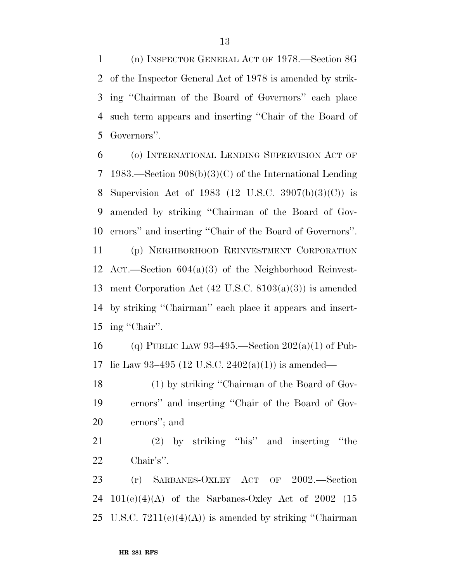(n) INSPECTOR GENERAL ACT OF 1978.—Section 8G of the Inspector General Act of 1978 is amended by strik- ing ''Chairman of the Board of Governors'' each place such term appears and inserting ''Chair of the Board of Governors''.

 (o) INTERNATIONAL LENDING SUPERVISION ACT OF 1983.—Section 908(b)(3)(C) of the International Lending Supervision Act of 1983 (12 U.S.C. 3907(b)(3)(C)) is amended by striking ''Chairman of the Board of Gov-ernors'' and inserting ''Chair of the Board of Governors''.

 (p) NEIGHBORHOOD REINVESTMENT CORPORATION ACT.—Section 604(a)(3) of the Neighborhood Reinvest- ment Corporation Act (42 U.S.C. 8103(a)(3)) is amended by striking ''Chairman'' each place it appears and insert-ing ''Chair''.

16 (q) PUBLIC LAW 93-495.—Section  $202(a)(1)$  of Pub-lic Law 93–495 (12 U.S.C. 2402(a)(1)) is amended—

 (1) by striking ''Chairman of the Board of Gov- ernors'' and inserting ''Chair of the Board of Gov-ernors''; and

 (2) by striking ''his'' and inserting ''the Chair's''.

 (r) SARBANES-OXLEY ACT OF 2002.—Section 24 101(e)(4)(A) of the Sarbanes-Oxley Act of 2002 (15 25 U.S.C.  $7211(e)(4)(A)$  is amended by striking "Chairman"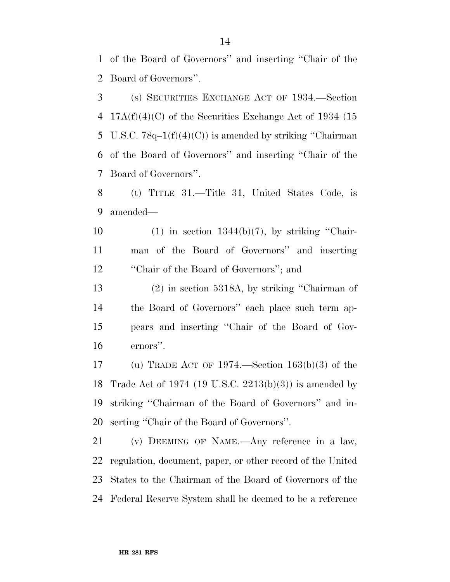of the Board of Governors'' and inserting ''Chair of the Board of Governors''.

 (s) SECURITIES EXCHANGE ACT OF 1934.—Section 17A(f)(4)(C) of the Securities Exchange Act of 1934 (15 5 U.S.C.  $78q-1(f)(4)(C)$  is amended by striking "Chairman" of the Board of Governors'' and inserting ''Chair of the Board of Governors''.

 (t) TITLE 31.—Title 31, United States Code, is amended—

10 (1) in section  $1344(b)(7)$ , by striking "Chair- man of the Board of Governors'' and inserting ''Chair of the Board of Governors''; and

 (2) in section 5318A, by striking ''Chairman of the Board of Governors'' each place such term ap- pears and inserting ''Chair of the Board of Gov-ernors''.

17 (u) TRADE ACT OF . Section  $163(b)(3)$  of the Trade Act of 1974 (19 U.S.C. 2213(b)(3)) is amended by striking ''Chairman of the Board of Governors'' and in-serting ''Chair of the Board of Governors''.

 (v) DEEMING OF NAME.—Any reference in a law, regulation, document, paper, or other record of the United States to the Chairman of the Board of Governors of the Federal Reserve System shall be deemed to be a reference